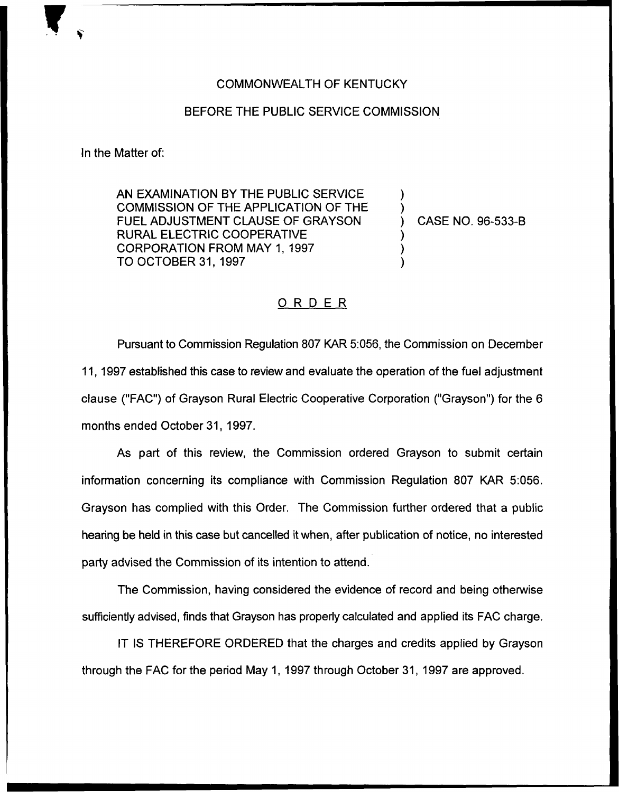## COMMONN/EALTH OF KENTUCKY

## BEFORE THE PUBLIC SERVICE COMMISSION

In the Matter of:

AN EXAMINATION BY THE PUBLIC SERVICE COMMISSION OF THE APPLICATION OF THE FUEL ADJUSTMENT CLAUSE OF GRAYSON RURAL ELECTRIC COOPERATIVE CORPORATION FROM MAY 1, 1997 TO OCTOBER 31, 1997

) CASE NO. 96-533-B

) )

) ) )

## ORDER

Pursuant to Commission Regulation 807 KAR 5:056, the Commission on December 11, 1997 established this case to review and evaluate the operation of the fuel adjustment clause ("FAC") of Grayson Rural Electric Cooperative Corporation ("Grayson") for the 6 months ended October 31, 1997.

As part of this review, the Commission ordered Grayson to submit certain information concerning its compliance with Commission Regulation 807 KAR 5:056. Grayson has complied with this Order. The Commission further ordered that a public hearing be held in this case but cancelled it when, after publication of notice, no interested party advised the Commission of its intention to attend.

The Commission, having considered the evidence of record and being otherwise sufficiently advised, finds that Grayson has properly calculated and applied its FAC charge.

IT IS THEREFORE ORDERED that the charges and credits applied by Grayson through the FAC for the period May 1, 1997 through October 31, 1997 are approved.